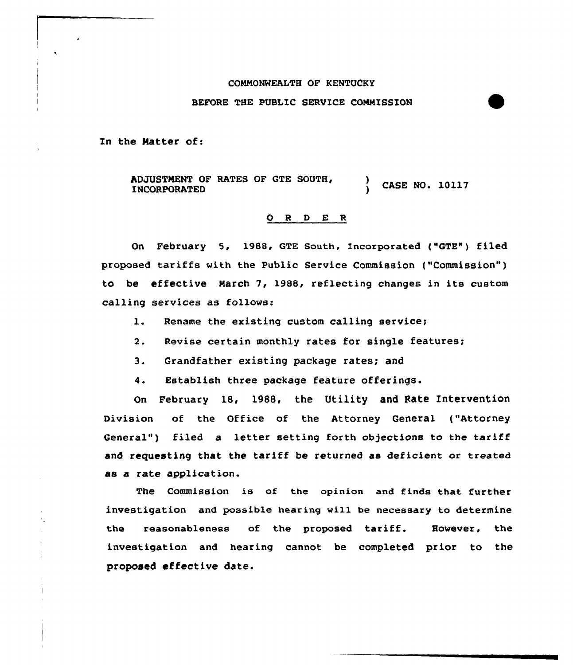## COMMONWEALTH OF KENTUCKY

## BEFORE THE PUBLIC SERVICE COMMISSION

In the Natter of:

ADJUSTMENT OF RATES OF GTE SOUTH, INCORPORATED ) ) CASE NO. 10117

## 0 <sup>R</sup> <sup>D</sup> E <sup>R</sup>

On February 5, 1988, GTE South, Incorporated ("GTE") filed proposed tariffs with the Public Service Commission ("Commission" ) to be effective March 7, 1988, reflecting changes in its custom calling services as follows:

- 1. Rename the existing custom calling service;
- 2. Revise certain monthly rates for single features;
- 3. Grandfather existing package rates; and

4. Establish three package feature offerings.

On February 18, 1988, the Utility and Rate Intervention Division of the Office of the Attorney General ("Attorney General") filed a letter setting forth objections to the tariff and requesting that the tariff be returned as deficient or treated as a rate application.

The Commission is of the opinion and finds that further investigation and possible hearing will be necessary to determine the reasonableness of the proposed tariff. However, the investigation and hearing cannot be completed prior to the proposed effective date.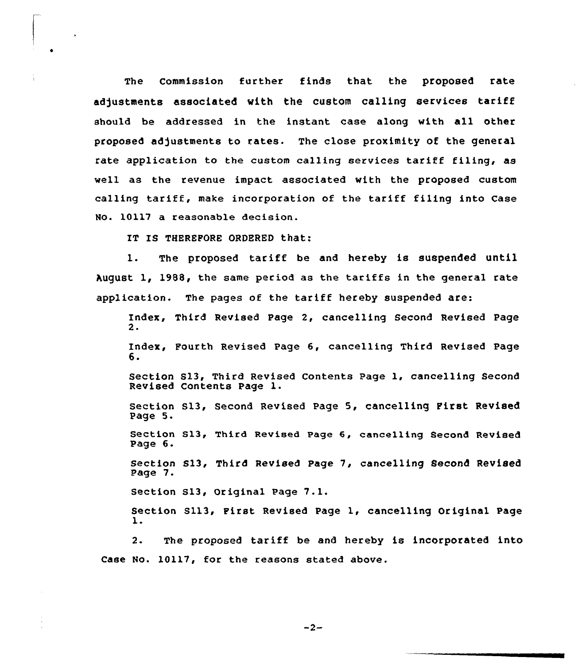The Commission further finds that the proposed rate adjustments associated with the custom calling services tariff should be addressed in the instant case along with all other proposed ad)ustments to rates. The close proximity of the general rate application to the custom calling services tariff filing, as well as the revenue impact associated with the proposed custom calling tariff, make incorporation of the tariff filing into Case No. 10117 a reasonable decision.

IT IS THEREFORE ORDERED that:

1. The proposed tariff be and hereby is suspended until August 1, 1988, the same period as the tariffs in the general rate application. The pages of the tariff hereby suspended are:

Index, Third Revised Page 2, cancelling Second Revised Page 2.

Index, Fourth Revised Page 6, cancelling Third Revised Page 6.

Section S13, Third Revised Contents Page 1, cancelling Second Revised Contents Page l.

Section S13, Second Revised Page 5, cancelling First Revised Page 5.

Section 813, Third Revised Page 6, cancelling Second Revised Page 6.

Section S13, Third Revised Page 7, cancelling Second Revised Page 7.

Section sl3, Original Page 7.1.

Section S113, First Revised Page 1, cancelling Original Page l.

2. The proposed tariff be and hereby is incorporated into Case No. 10117, for the reasons stated above.